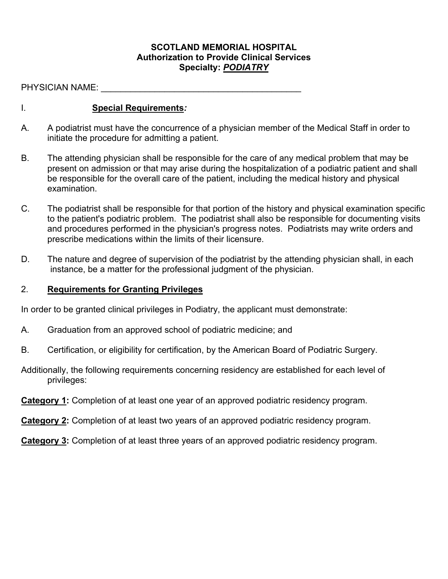#### **SCOTLAND MEMORIAL HOSPITAL Authorization to Provide Clinical Services Specialty:** *PODIATRY*

PHYSICIAN NAME:  $\blacksquare$ 

### I. **Special Requirements***:*

- A. A podiatrist must have the concurrence of a physician member of the Medical Staff in order to initiate the procedure for admitting a patient.
- B. The attending physician shall be responsible for the care of any medical problem that may be present on admission or that may arise during the hospitalization of a podiatric patient and shall be responsible for the overall care of the patient, including the medical history and physical examination.
- C. The podiatrist shall be responsible for that portion of the history and physical examination specific to the patient's podiatric problem. The podiatrist shall also be responsible for documenting visits and procedures performed in the physician's progress notes. Podiatrists may write orders and prescribe medications within the limits of their licensure.
- D. The nature and degree of supervision of the podiatrist by the attending physician shall, in each instance, be a matter for the professional judgment of the physician.

#### 2. **Requirements for Granting Privileges**

In order to be granted clinical privileges in Podiatry, the applicant must demonstrate:

- A. Graduation from an approved school of podiatric medicine; and
- B. Certification, or eligibility for certification, by the American Board of Podiatric Surgery.
- Additionally, the following requirements concerning residency are established for each level of privileges:
- **Category 1:** Completion of at least one year of an approved podiatric residency program.

**Category 2:** Completion of at least two years of an approved podiatric residency program.

**Category 3:** Completion of at least three years of an approved podiatric residency program.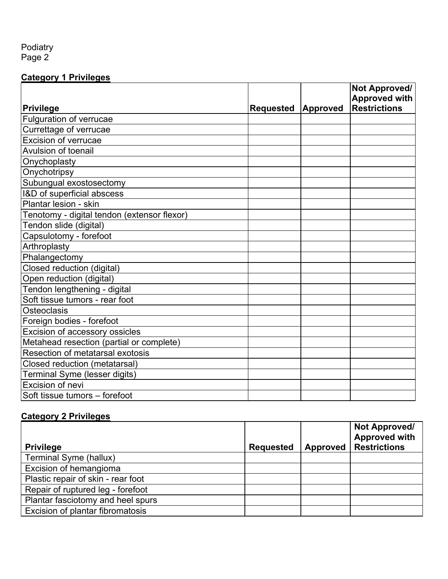#### Podiatry Page 2

### **Category 1 Privileges**

|                                             |                    | Not Approved/       |
|---------------------------------------------|--------------------|---------------------|
|                                             |                    | Approved with       |
| Privilege                                   | Requested Approved | <b>Restrictions</b> |
| Fulguration of verrucae                     |                    |                     |
| Currettage of verrucae                      |                    |                     |
| <b>Excision of verrucae</b>                 |                    |                     |
| Avulsion of toenail                         |                    |                     |
| Onychoplasty                                |                    |                     |
| Onychotripsy                                |                    |                     |
| Subungual exostosectomy                     |                    |                     |
| I&D of superficial abscess                  |                    |                     |
| Plantar lesion - skin                       |                    |                     |
| Tenotomy - digital tendon (extensor flexor) |                    |                     |
| Tendon slide (digital)                      |                    |                     |
| Capsulotomy - forefoot                      |                    |                     |
| Arthroplasty                                |                    |                     |
| Phalangectomy                               |                    |                     |
| Closed reduction (digital)                  |                    |                     |
| Open reduction (digital)                    |                    |                     |
| Tendon lengthening - digital                |                    |                     |
| Soft tissue tumors - rear foot              |                    |                     |
| Osteoclasis                                 |                    |                     |
| Foreign bodies - forefoot                   |                    |                     |
| Excision of accessory ossicles              |                    |                     |
| Metahead resection (partial or complete)    |                    |                     |
| Resection of metatarsal exotosis            |                    |                     |
| Closed reduction (metatarsal)               |                    |                     |
| Terminal Syme (lesser digits)               |                    |                     |
| <b>Excision of nevi</b>                     |                    |                     |
| Soft tissue tumors - forefoot               |                    |                     |

# **Category 2 Privileges**

| <b>Privilege</b>                   | <b>Requested</b> | Approved | Not Approved/<br><b>Approved with</b><br><b>Restrictions</b> |
|------------------------------------|------------------|----------|--------------------------------------------------------------|
| Terminal Syme (hallux)             |                  |          |                                                              |
| Excision of hemangioma             |                  |          |                                                              |
| Plastic repair of skin - rear foot |                  |          |                                                              |
| Repair of ruptured leg - forefoot  |                  |          |                                                              |
| Plantar fasciotomy and heel spurs  |                  |          |                                                              |
| Excision of plantar fibromatosis   |                  |          |                                                              |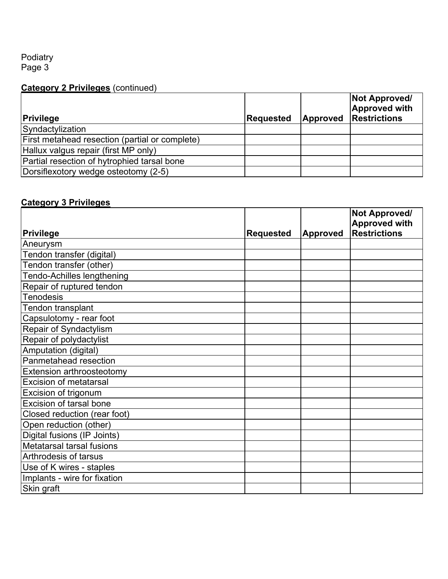#### Podiatry Page 3

# **Category 2 Privileges** (continued)

| <b>Privilege</b>                               | Requested | Approved | <b>Not Approved/</b><br><b>Approved with</b><br><b>Restrictions</b> |
|------------------------------------------------|-----------|----------|---------------------------------------------------------------------|
| Syndactylization                               |           |          |                                                                     |
| First metahead resection (partial or complete) |           |          |                                                                     |
| Hallux valgus repair (first MP only)           |           |          |                                                                     |
| Partial resection of hytrophied tarsal bone    |           |          |                                                                     |
| Dorsiflexotory wedge osteotomy (2-5)           |           |          |                                                                     |

## **Category 3 Privileges**

|                               |                  |                 | Not Approved/<br><b>Approved with</b> |
|-------------------------------|------------------|-----------------|---------------------------------------|
| Privilege                     | <b>Requested</b> | <b>Approved</b> | <b>Restrictions</b>                   |
| Aneurysm                      |                  |                 |                                       |
| Tendon transfer (digital)     |                  |                 |                                       |
| Tendon transfer (other)       |                  |                 |                                       |
| Tendo-Achilles lengthening    |                  |                 |                                       |
| Repair of ruptured tendon     |                  |                 |                                       |
| <b>Tenodesis</b>              |                  |                 |                                       |
| Tendon transplant             |                  |                 |                                       |
| Capsulotomy - rear foot       |                  |                 |                                       |
| Repair of Syndactylism        |                  |                 |                                       |
| Repair of polydactylist       |                  |                 |                                       |
| Amputation (digital)          |                  |                 |                                       |
| Panmetahead resection         |                  |                 |                                       |
| Extension arthroosteotomy     |                  |                 |                                       |
| <b>Excision of metatarsal</b> |                  |                 |                                       |
| Excision of trigonum          |                  |                 |                                       |
| Excision of tarsal bone       |                  |                 |                                       |
| Closed reduction (rear foot)  |                  |                 |                                       |
| Open reduction (other)        |                  |                 |                                       |
| Digital fusions (IP Joints)   |                  |                 |                                       |
| Metatarsal tarsal fusions     |                  |                 |                                       |
| <b>Arthrodesis of tarsus</b>  |                  |                 |                                       |
| Use of K wires - staples      |                  |                 |                                       |
| Implants - wire for fixation  |                  |                 |                                       |
| Skin graft                    |                  |                 |                                       |